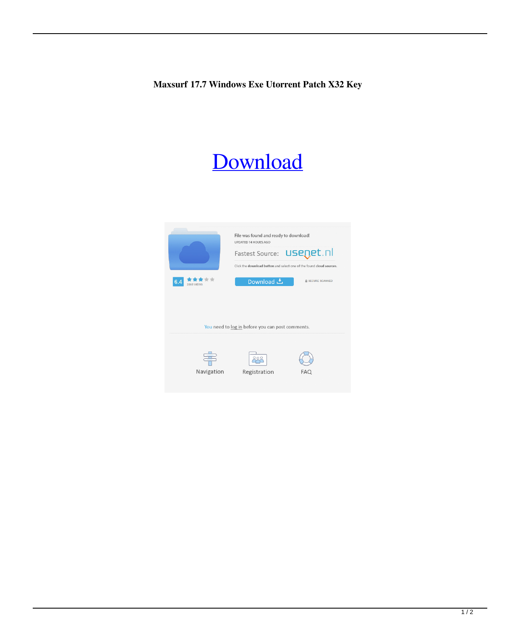**Maxsurf 17.7 Windows Exe Utorrent Patch X32 Key**

## [Download](http://evacdir.com/mucous.bWF4c3VyZiAxNy43IHdpdGggY3JhY2sgZGlyZWN0IGRvd25sb2FkIDEbWF/netgear/polski/ZG93bmxvYWR8TTJNTWpONGJIeDhNVFkxTWpjME1EZzJObng4TWpVM05IeDhLRTBwSUhKbFlXUXRZbXh2WnlCYlJtRnpkQ0JIUlU1ZA.ritual/permeable.israel)